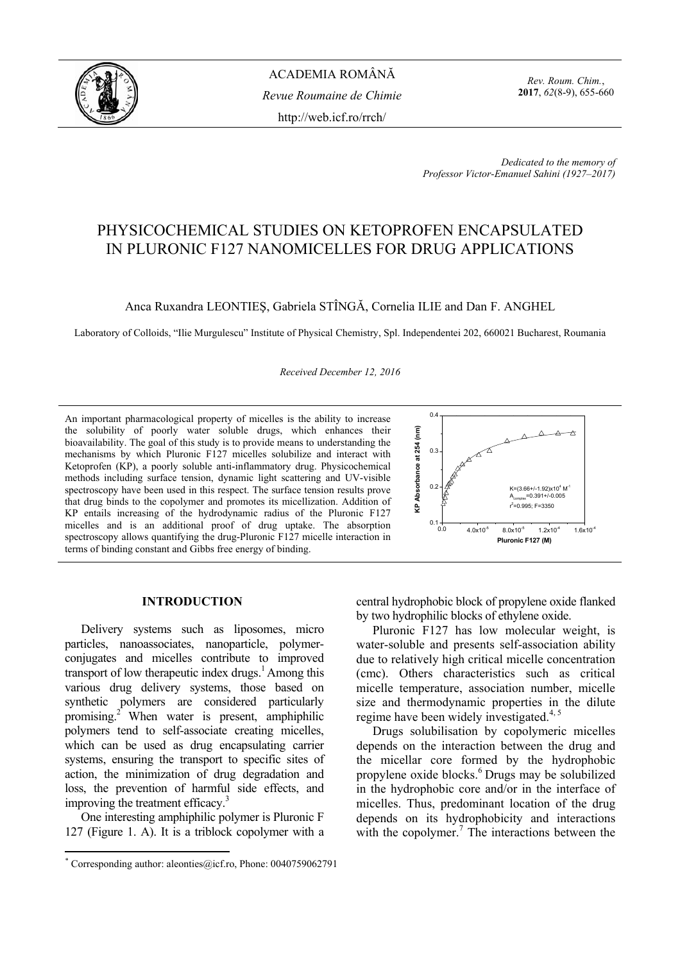

*Rev. Roum. Chim.*, **2017**, *62*(8-9), 655-660

*Dedicated to the memory of Professor Victor-Emanuel Sahini (1927–2017)* 

# PHYSICOCHEMICAL STUDIES ON KETOPROFEN ENCAPSULATED IN PLURONIC F127 NANOMICELLES FOR DRUG APPLICATIONS

Anca Ruxandra LEONTIEŞ, Gabriela STÎNGĂ, Cornelia ILIE and Dan F. ANGHEL

Laboratory of Colloids, "Ilie Murgulescu" Institute of Physical Chemistry, Spl. Independentei 202, 660021 Bucharest, Roumania

*Received December 12, 2016*

An important pharmacological property of micelles is the ability to increase the solubility of poorly water soluble drugs, which enhances their bioavailability. The goal of this study is to provide means to understanding the mechanisms by which Pluronic F127 micelles solubilize and interact with Ketoprofen (KP), a poorly soluble anti-inflammatory drug. Physicochemical methods including surface tension, dynamic light scattering and UV-visible spectroscopy have been used in this respect. The surface tension results prove that drug binds to the copolymer and promotes its micellization. Addition of KP entails increasing of the hydrodynamic radius of the Pluronic F127 micelles and is an additional proof of drug uptake. The absorption spectroscopy allows quantifying the drug-Pluronic F127 micelle interaction in terms of binding constant and Gibbs free energy of binding.



# **INTRODUCTION\***

Delivery systems such as liposomes, micro particles, nanoassociates, nanoparticle, polymerconjugates and micelles contribute to improved transport of low therapeutic index drugs.<sup>1</sup> Among this various drug delivery systems, those based on synthetic polymers are considered particularly promising.2 When water is present, amphiphilic polymers tend to self-associate creating micelles, which can be used as drug encapsulating carrier systems, ensuring the transport to specific sites of action, the minimization of drug degradation and loss, the prevention of harmful side effects, and improving the treatment efficacy.<sup>3</sup>

One interesting amphiphilic polymer is Pluronic F 127 (Figure 1. A). It is a triblock copolymer with a

 $\overline{a}$ 

central hydrophobic block of propylene oxide flanked by two hydrophilic blocks of ethylene oxide.

Pluronic F127 has low molecular weight, is water-soluble and presents self-association ability due to relatively high critical micelle concentration (cmc). Others characteristics such as critical micelle temperature, association number, micelle size and thermodynamic properties in the dilute regime have been widely investigated. $4,5$ 

Drugs solubilisation by copolymeric micelles depends on the interaction between the drug and the micellar core formed by the hydrophobic propylene oxide blocks.6 Drugs may be solubilized in the hydrophobic core and/or in the interface of micelles. Thus, predominant location of the drug depends on its hydrophobicity and interactions with the copolymer. $\frac{7}{1}$  The interactions between the

<sup>\*</sup> Corresponding author: aleonties@icf.ro, Phone: 0040759062791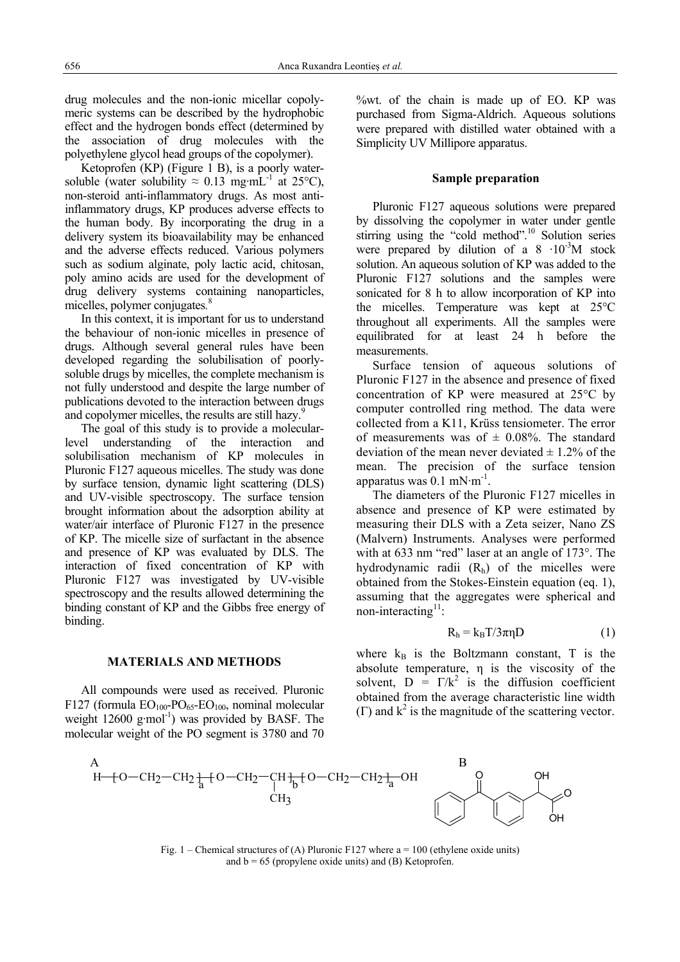drug molecules and the non-ionic micellar copolymeric systems can be described by the hydrophobic effect and the hydrogen bonds effect (determined by the association of drug molecules with the polyethylene glycol head groups of the copolymer).

Ketoprofen (KP) (Figure 1 B), is a poorly watersoluble (water solubility  $\approx 0.13$  mg·mL<sup>-1</sup> at 25°C), non-steroid anti-inflammatory drugs. As most antiinflammatory drugs, KP produces adverse effects to the human body. By incorporating the drug in a delivery system its bioavailability may be enhanced and the adverse effects reduced. Various polymers such as sodium alginate, poly lactic acid, chitosan, poly amino acids are used for the development of drug delivery systems containing nanoparticles, micelles, polymer conjugates*.* 8

In this context, it is important for us to understand the behaviour of non-ionic micelles in presence of drugs. Although several general rules have been developed regarding the solubilisation of poorlysoluble drugs by micelles, the complete mechanism is not fully understood and despite the large number of publications devoted to the interaction between drugs and copolymer micelles, the results are still hazy.<sup>5</sup>

The goal of this study is to provide a molecularlevel understanding of the interaction and solubilisation mechanism of KP molecules in Pluronic F127 aqueous micelles. The study was done by surface tension, dynamic light scattering (DLS) and UV-visible spectroscopy. The surface tension brought information about the adsorption ability at water/air interface of Pluronic F127 in the presence of KP. The micelle size of surfactant in the absence and presence of KP was evaluated by DLS. The interaction of fixed concentration of KP with Pluronic F127 was investigated by UV-visible spectroscopy and the results allowed determining the binding constant of KP and the Gibbs free energy of binding.

#### **MATERIALS AND METHODS**

All compounds were used as received. Pluronic F127 (formula  $EO<sub>100</sub>$ -PO<sub>65</sub>-EO<sub>100</sub>, nominal molecular weight  $12600 \text{ g/mol}^{-1}$ ) was provided by BASF. The molecular weight of the PO segment is 3780 and 70 %wt. of the chain is made up of EO. KP was purchased from Sigma-Aldrich. Aqueous solutions were prepared with distilled water obtained with a Simplicity UV Millipore apparatus.

#### **Sample preparation**

Pluronic F127 aqueous solutions were prepared by dissolving the copolymer in water under gentle stirring using the "cold method".<sup>10</sup> Solution series were prepared by dilution of a  $8 \cdot 10^{-3}$ M stock solution. An aqueous solution of KP was added to the Pluronic F127 solutions and the samples were sonicated for 8 h to allow incorporation of KP into the micelles. Temperature was kept at 25°C throughout all experiments. All the samples were equilibrated for at least 24 h before the measurements.

Surface tension of aqueous solutions of Pluronic F127 in the absence and presence of fixed concentration of KP were measured at 25°C by computer controlled ring method. The data were collected from a K11, Krüss tensiometer. The error of measurements was of  $\pm$  0.08%. The standard deviation of the mean never deviated  $\pm$  1.2% of the mean. The precision of the surface tension apparatus was  $0.1 \text{ mN·m}^{-1}$ .

The diameters of the Pluronic F127 micelles in absence and presence of KP were estimated by measuring their DLS with a Zeta seizer, Nano ZS (Malvern) Instruments. Analyses were performed with at 633 nm "red" laser at an angle of 173°. The hydrodynamic radii  $(R<sub>h</sub>)$  of the micelles were obtained from the Stokes-Einstein equation (eq. 1), assuming that the aggregates were spherical and non-interacting $11$ :

$$
R_h = k_B T / 3\pi \eta D \tag{1}
$$

where  $k_B$  is the Boltzmann constant, T is the absolute temperature, η is the viscosity of the solvent,  $D = \Gamma/k^2$  is the diffusion coefficient obtained from the average characteristic line width (Γ) and  $k^2$  is the magnitude of the scattering vector.



Fig. 1 – Chemical structures of (A) Pluronic F127 where  $a = 100$  (ethylene oxide units) and  $b = 65$  (propylene oxide units) and (B) Ketoprofen.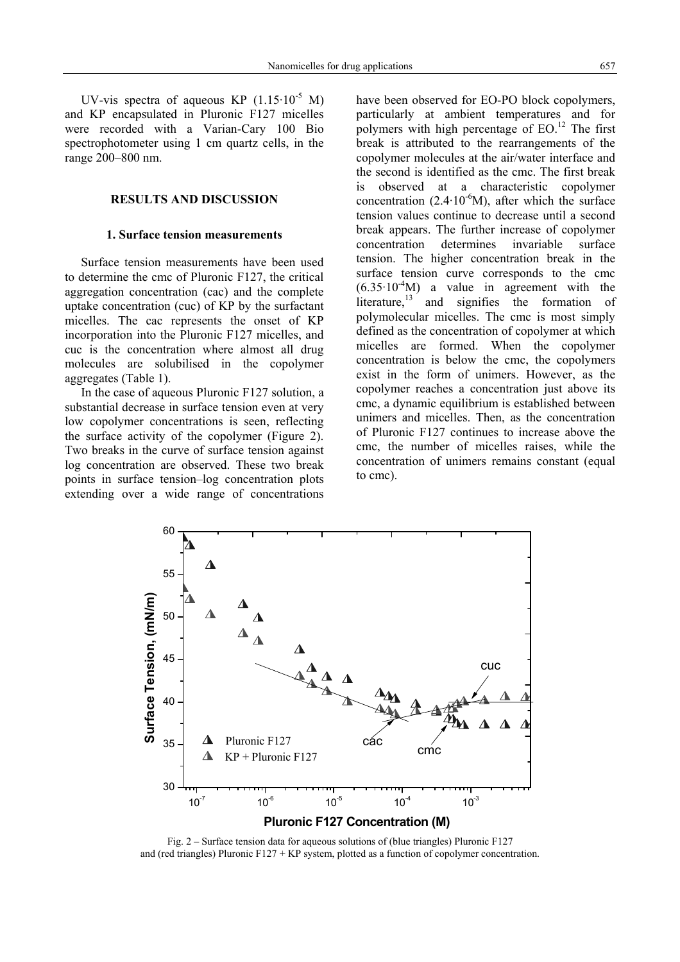UV-vis spectra of aqueous KP  $(1.15 \cdot 10^{-5} \text{ M})$ and KP encapsulated in Pluronic F127 micelles were recorded with a Varian-Cary 100 Bio spectrophotometer using 1 cm quartz cells, in the range 200–800 nm.

# **RESULTS AND DISCUSSION**

# **1. Surface tension measurements**

Surface tension measurements have been used to determine the cmc of Pluronic F127, the critical aggregation concentration (cac) and the complete uptake concentration (cuc) of KP by the surfactant micelles. The cac represents the onset of KP incorporation into the Pluronic F127 micelles, and cuc is the concentration where almost all drug molecules are solubilised in the copolymer aggregates (Table 1).

In the case of aqueous Pluronic F127 solution, a substantial decrease in surface tension even at very low copolymer concentrations is seen, reflecting the surface activity of the copolymer (Figure 2). Two breaks in the curve of surface tension against log concentration are observed. These two break points in surface tension–log concentration plots extending over a wide range of concentrations have been observed for EO-PO block copolymers, particularly at ambient temperatures and for polymers with high percentage of  $EO$ .<sup>12</sup> The first break is attributed to the rearrangements of the copolymer molecules at the air/water interface and the second is identified as the cmc. The first break is observed at a characteristic copolymer concentration  $(2.4 \cdot 10^{-6} M)$ , after which the surface tension values continue to decrease until a second break appears. The further increase of copolymer concentration determines invariable surface tension. The higher concentration break in the surface tension curve corresponds to the cmc  $(6.35 \cdot 10^{-4} M)$  a value in agreement with the literature, $13$  and signifies the formation of polymolecular micelles. The cmc is most simply defined as the concentration of copolymer at which micelles are formed. When the copolymer concentration is below the cmc, the copolymers exist in the form of unimers. However, as the copolymer reaches a concentration just above its cmc, a dynamic equilibrium is established between unimers and micelles. Then, as the concentration of Pluronic F127 continues to increase above the cmc, the number of micelles raises, while the concentration of unimers remains constant (equal to cmc).



Fig. 2 – Surface tension data for aqueous solutions of (blue triangles) Pluronic F127 and (red triangles) Pluronic  $F127 + KP$  system, plotted as a function of copolymer concentration.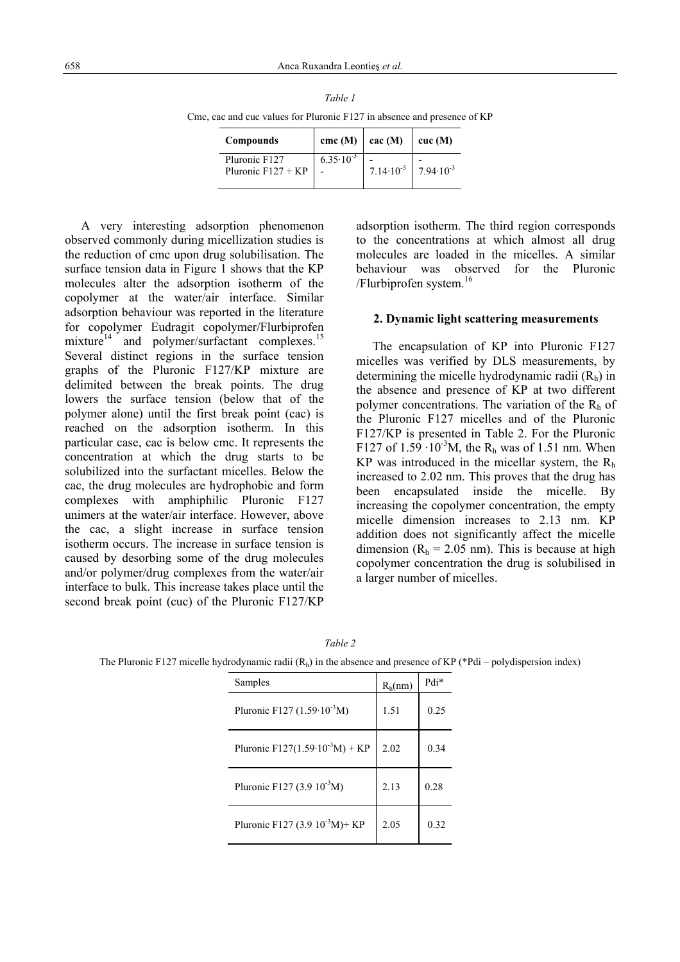| cac and cuc values for Pluronic $F127$ in absence and presence or |                                     |                                   |                                             |                 |  |  |  |
|-------------------------------------------------------------------|-------------------------------------|-----------------------------------|---------------------------------------------|-----------------|--|--|--|
|                                                                   | <b>Compounds</b>                    | $\text{cmc (M)}$ $\text{cac (M)}$ |                                             | $\vert$ cuc (M) |  |  |  |
|                                                                   | Pluronic F127<br>Pluronic F127 + KP | $6.35 \cdot 10^{-3}$              | 7.14.10 <sup>-5</sup> 7.94.10 <sup>-3</sup> |                 |  |  |  |

*Table 1*  Cmc, cac and cuc values for Pluronic F127 in absence and presence of KP

A very interesting adsorption phenomenon observed commonly during micellization studies is the reduction of cmc upon drug solubilisation. The surface tension data in Figure 1 shows that the KP molecules alter the adsorption isotherm of the copolymer at the water/air interface. Similar adsorption behaviour was reported in the literature for copolymer Eudragit copolymer/Flurbiprofen mixture<sup>14</sup> and polymer/surfactant complexes.<sup>15</sup> Several distinct regions in the surface tension graphs of the Pluronic F127/KP mixture are delimited between the break points. The drug lowers the surface tension (below that of the polymer alone) until the first break point (cac) is reached on the adsorption isotherm. In this particular case, cac is below cmc. It represents the concentration at which the drug starts to be solubilized into the surfactant micelles. Below the cac, the drug molecules are hydrophobic and form complexes with amphiphilic Pluronic F127 unimers at the water/air interface. However, above the cac, a slight increase in surface tension isotherm occurs. The increase in surface tension is caused by desorbing some of the drug molecules and/or polymer/drug complexes from the water/air interface to bulk. This increase takes place until the second break point (cuc) of the Pluronic F127/KP

adsorption isotherm. The third region corresponds to the concentrations at which almost all drug molecules are loaded in the micelles. A similar behaviour was observed for the Pluronic /Flurbiprofen system.<sup>16</sup>

# **2. Dynamic light scattering measurements**

The encapsulation of KP into Pluronic F127 micelles was verified by DLS measurements, by determining the micelle hydrodynamic radii  $(R_h)$  in the absence and presence of KP at two different polymer concentrations. The variation of the  $R_h$  of the Pluronic F127 micelles and of the Pluronic F127/KP is presented in Table 2. For the Pluronic F127 of  $1.59 \cdot 10^{-3}$ M, the R<sub>h</sub> was of 1.51 nm. When KP was introduced in the micellar system, the  $R<sub>h</sub>$ increased to 2.02 nm. This proves that the drug has been encapsulated inside the micelle. By increasing the copolymer concentration, the empty micelle dimension increases to 2.13 nm. KP addition does not significantly affect the micelle dimension ( $R_h$  = 2.05 nm). This is because at high copolymer concentration the drug is solubilised in a larger number of micelles.

| Samples                                     | $R_h(nm)$ | Pdi* |
|---------------------------------------------|-----------|------|
| Pluronic F127 $(1.59 \cdot 10^{-3} M)$      | 1.51      | 0.25 |
| Pluronic F127(1.59·10 <sup>-3</sup> M) + KP | 2.02      | 0.34 |
| Pluronic F127 (3.9 $10^{-3}$ M)             | 2.13      | 0.28 |
| Pluronic F127 (3.9 $10^{-3}M$ )+ KP         | 2.05      | 0.32 |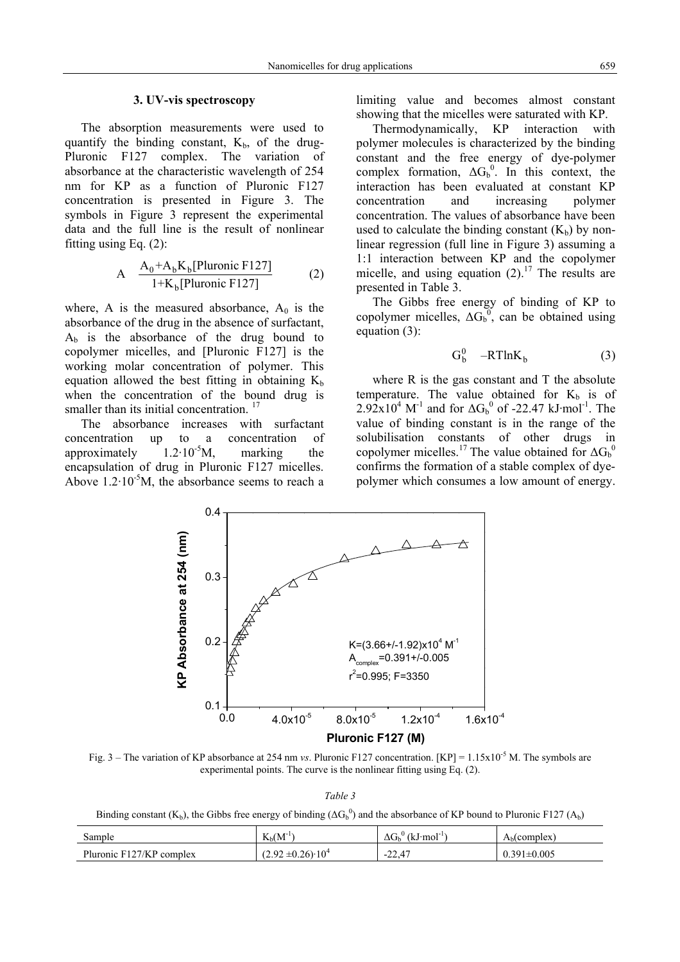#### **3. UV-vis spectroscopy**

The absorption measurements were used to quantify the binding constant,  $K_b$ , of the drug-Pluronic F127 complex. The variation of absorbance at the characteristic wavelength of 254 nm for KP as a function of Pluronic F127 concentration is presented in Figure 3. The symbols in Figure 3 represent the experimental data and the full line is the result of nonlinear fitting using Eq. (2):

A 
$$
\frac{A_0 + A_b K_b[Pluronic F127]}{1 + K_b[Pluronic F127]}
$$
 (2)

where, A is the measured absorbance,  $A_0$  is the absorbance of the drug in the absence of surfactant,  $A_b$  is the absorbance of the drug bound to copolymer micelles, and [Pluronic F127] is the working molar concentration of polymer. This equation allowed the best fitting in obtaining  $K_b$ when the concentration of the bound drug is smaller than its initial concentration.<sup>17</sup>

The absorbance increases with surfactant concentration up to a concentration of approximately  $1.2 \cdot 10^{-5}$ M, marking the encapsulation of drug in Pluronic F127 micelles. Above  $1.2 \cdot 10^{-5}$ M, the absorbance seems to reach a limiting value and becomes almost constant showing that the micelles were saturated with KP.

Thermodynamically, KP interaction with polymer molecules is characterized by the binding constant and the free energy of dye-polymer complex formation,  $\Delta G_b^0$ . In this context, the interaction has been evaluated at constant KP concentration and increasing polymer concentration. The values of absorbance have been used to calculate the binding constant  $(K_b)$  by nonlinear regression (full line in Figure 3) assuming a 1:1 interaction between KP and the copolymer micelle, and using equation  $(2)$ .<sup>17</sup> The results are presented in Table 3.

The Gibbs free energy of binding of KP to copolymer micelles,  $\Delta G_b^0$ , can be obtained using equation (3):

$$
G_b^0 - RTlnK_b \tag{3}
$$

where R is the gas constant and T the absolute temperature. The value obtained for  $K_b$  is of  $2.92 \times 10^4$  M<sup>-1</sup> and for  $\Delta G_b^0$  of -22.47 kJ·mol<sup>-1</sup>. The value of binding constant is in the range of the solubilisation constants of other drugs in copolymer micelles.<sup>17</sup> The value obtained for  $\Delta G_b^0$ confirms the formation of a stable complex of dyepolymer which consumes a low amount of energy.



Fig. 3 – The variation of KP absorbance at 254 nm *vs*. Pluronic F127 concentration. [KP] = 1.15x10<sup>-5</sup> M. The symbols are experimental points. The curve is the nonlinear fitting using Eq. (2).

*Table 3* 

Binding constant (K<sub>b</sub>), the Gibbs free energy of binding ( $\Delta G_b^0$ ) and the absorbance of KP bound to Pluronic F127 (A<sub>b</sub>)

| Sample                   | $K_{h}(M^{-1})$              | $\sqrt[n]{(kJ \cdot mol^{-1})}$<br>$\Delta G_{\rm h}$ | $A_h$ (complex)   |
|--------------------------|------------------------------|-------------------------------------------------------|-------------------|
| Pluronic F127/KP complex | $(2.92 \pm 0.26) \cdot 10^4$ | $-22.47$                                              | $0.391 \pm 0.005$ |